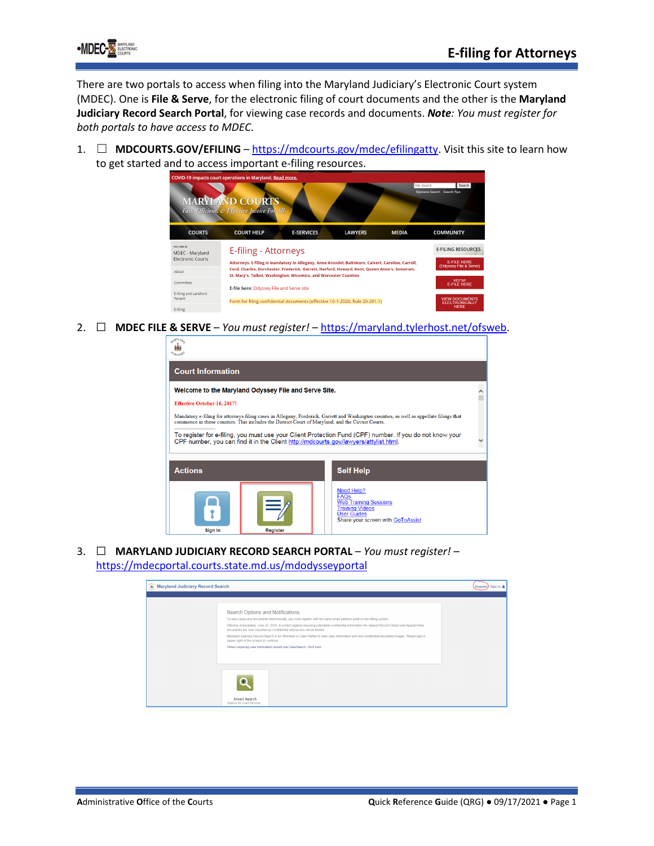

There are two portals to access when filing into the Maryland Judiciary's Electronic Court system (MDEC). One is **File & Serve**, for the electronic filing of court documents and the other is the **Maryland Judiciary Record Search Portal**, for viewing case records and documents. *Note: You must register for both portals to have access to MDEC*.

1. ☐ **MDCOURTS.GOV/EFILING** – [https://mdcourts.gov/mdec/efilingatty.](https://mdcourts.gov/mdec/efilingatty) Visit this site to learn how to get started and to access important e-filing resources.



2. ☐ **MDEC FILE & SERVE** – *You must register!* – [https://maryland.tylerhost.net/ofsweb.](https://maryland.tylerhost.net/ofsweb)

| ARYLAN                                                                                                                                                                                                                                        |          |  |                                                                                                                                                |  |  |
|-----------------------------------------------------------------------------------------------------------------------------------------------------------------------------------------------------------------------------------------------|----------|--|------------------------------------------------------------------------------------------------------------------------------------------------|--|--|
| <b>Court Information</b>                                                                                                                                                                                                                      |          |  |                                                                                                                                                |  |  |
| Welcome to the Maryland Odyssey File and Serve Site.                                                                                                                                                                                          |          |  |                                                                                                                                                |  |  |
| <b>Effective October 16, 2017!</b>                                                                                                                                                                                                            |          |  |                                                                                                                                                |  |  |
| Mandatory e-filing for attorneys filing cases in Allegany, Frederick, Garrett and Washington counties, as well as appellate filings that<br>commence in those counties. This includes the District Court of Maryland, and the Circuit Courts. |          |  |                                                                                                                                                |  |  |
| To register for e-filing, you must use your Client Protection Fund (CPF) number. If you do not know your<br>CPF number, you can find it in the Client http://mdcourts.gov/lawyers/attylist.html.                                              |          |  |                                                                                                                                                |  |  |
| <b>Actions</b>                                                                                                                                                                                                                                |          |  | <b>Self Help</b>                                                                                                                               |  |  |
| Sign In                                                                                                                                                                                                                                       | Register |  | Need Help?<br><b>FAQs</b><br><b>Web Training Sessions</b><br><b>Training Videos</b><br><b>User Guides</b><br>Share your screen with GoToAssist |  |  |

3. ☐ **MARYLAND JUDICIARY RECORD SEARCH PORTAL** – *You must register!* – <https://mdecportal.courts.state.md.us/mdodysseyportal>

| <b>b</b> Maryland Judiciary Record Search |                                                                                                                                                                                                                                                                                                                                                                                                                                                                                                                                                                                                                                                                  | <b>Register</b><br>Sign In & |
|-------------------------------------------|------------------------------------------------------------------------------------------------------------------------------------------------------------------------------------------------------------------------------------------------------------------------------------------------------------------------------------------------------------------------------------------------------------------------------------------------------------------------------------------------------------------------------------------------------------------------------------------------------------------------------------------------------------------|------------------------------|
|                                           |                                                                                                                                                                                                                                                                                                                                                                                                                                                                                                                                                                                                                                                                  |                              |
|                                           | Search Options and Notifications<br>To view cases and documents electronically, you must register with the same email address used on the effing system.<br>Effective immediately, June 23, 2016, to protect against exposing potentially confidential information the Appeal Record Extract and Appeal Index<br>documents are now classified as Confidential and access will be limited.<br>Maryland Judiciary Record Search is for Attorneys or Case Parties to view case information and non-confidential document images. Please sign in<br>(upper right of the screen) to continue.<br>Others requiring case information should use CaseSearch. Click here. |                              |
|                                           | <b>Smart Search</b><br>Search for court records.                                                                                                                                                                                                                                                                                                                                                                                                                                                                                                                                                                                                                 |                              |